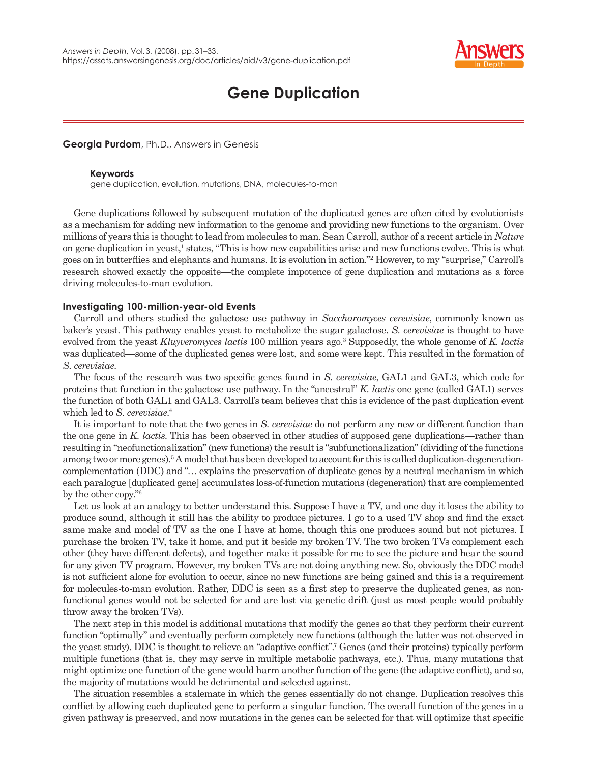

# **Gene Duplication**

**Georgia Purdom**, Ph.D., Answers in Genesis

### **Keywords**

gene duplication, evolution, mutations, DNA, molecules-to-man

Gene duplications followed by subsequent mutation of the duplicated genes are often cited by evolutionists as a mechanism for adding new information to the genome and providing new functions to the organism. Over millions of years this is thought to lead from molecules to man. Sean Carroll, author of a recent article in *Nature* on gene duplication in yeast,<sup>1</sup> states, "This is how new capabilities arise and new functions evolve. This is what goes on in butterflies and elephants and humans. It is evolution in action."<sup>2</sup> However, to my "surprise," Carroll's research showed exactly the opposite—the complete impotence of gene duplication and mutations as a force driving molecules-to-man evolution.

## **Investigating 100-million-year-old Events**

Carroll and others studied the galactose use pathway in *Saccharomyces cerevisiae*, commonly known as baker's yeast. This pathway enables yeast to metabolize the sugar galactose. *S. cerevisiae* is thought to have evolved from the yeast *Kluyveromyces lactis* 100 million years ago.3 Supposedly, the whole genome of *K. lactis* was duplicated—some of the duplicated genes were lost, and some were kept. This resulted in the formation of *S. cerevisiae*.

The focus of the research was two specific genes found in *S. cerevisiae*, GAL1 and GAL3, which code for proteins that function in the galactose use pathway. In the "ancestral" *K. lactis* one gene (called GAL1) serves the function of both GAL1 and GAL3. Carroll's team believes that this is evidence of the past duplication event which led to *S. cerevisiae*. 4

It is important to note that the two genes in *S. cerevisiae* do not perform any new or different function than the one gene in *K. lactis*. This has been observed in other studies of supposed gene duplications—rather than resulting in "neofunctionalization" (new functions) the result is "subfunctionalization" (dividing of the functions among two or more genes).<sup>5</sup> A model that has been developed to account for this is called duplication-degenerationcomplementation (DDC) and ". . . explains the preservation of duplicate genes by a neutral mechanism in which each paralogue [duplicated gene] accumulates loss-of-function mutations (degeneration) that are complemented by the other copy."6

Let us look at an analogy to better understand this. Suppose I have a TV, and one day it loses the ability to produce sound, although it still has the ability to produce pictures. I go to a used TV shop and find the exact same make and model of TV as the one I have at home, though this one produces sound but not pictures. I purchase the broken TV, take it home, and put it beside my broken TV. The two broken TVs complement each other (they have different defects), and together make it possible for me to see the picture and hear the sound for any given TV program. However, my broken TVs are not doing anything new. So, obviously the DDC model is not sufficient alone for evolution to occur, since no new functions are being gained and this is a requirement for molecules-to-man evolution. Rather, DDC is seen as a first step to preserve the duplicated genes, as nonfunctional genes would not be selected for and are lost via genetic drift (just as most people would probably throw away the broken TVs).

The next step in this model is additional mutations that modify the genes so that they perform their current function "optimally" and eventually perform completely new functions (although the latter was not observed in the yeast study). DDC is thought to relieve an "adaptive conflict".<sup>7</sup> Genes (and their proteins) typically perform multiple functions (that is, they may serve in multiple metabolic pathways, etc.). Thus, many mutations that might optimize one function of the gene would harm another function of the gene (the adaptive conflict), and so, the majority of mutations would be detrimental and selected against.

The situation resembles a stalemate in which the genes essentially do not change. Duplication resolves this conflict by allowing each duplicated gene to perform a singular function. The overall function of the genes in a given pathway is preserved, and now mutations in the genes can be selected for that will optimize that specific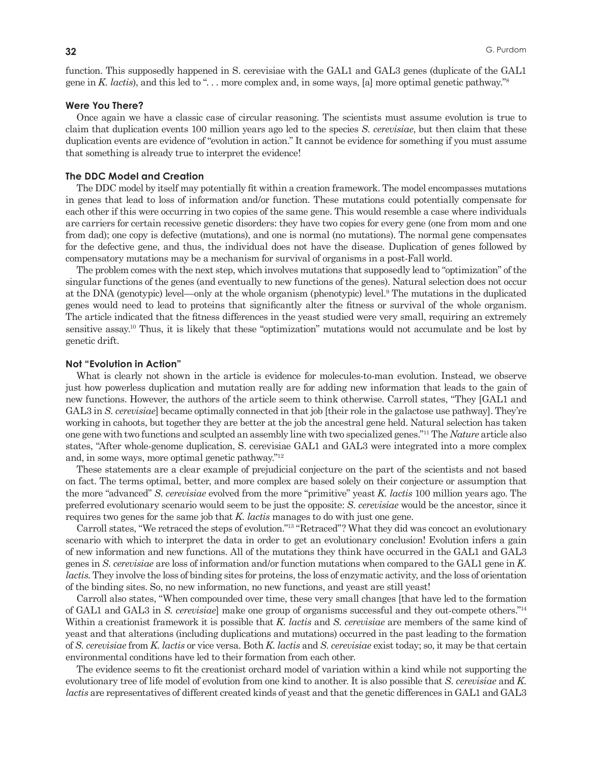function. This supposedly happened in S. cerevisiae with the GAL1 and GAL3 genes (duplicate of the GAL1 gene in *K. lactis*), and this led to ". . . more complex and, in some ways, [a] more optimal genetic pathway."8

#### **Were You There?**

Once again we have a classic case of circular reasoning. The scientists must assume evolution is true to claim that duplication events 100 million years ago led to the species *S. cerevisiae*, but then claim that these duplication events are evidence of "evolution in action." It cannot be evidence for something if you must assume that something is already true to interpret the evidence!

# **The DDC Model and Creation**

The DDC model by itself may potentially fit within a creation framework. The model encompasses mutations in genes that lead to loss of information and/or function. These mutations could potentially compensate for each other if this were occurring in two copies of the same gene. This would resemble a case where individuals are carriers for certain recessive genetic disorders: they have two copies for every gene (one from mom and one from dad); one copy is defective (mutations), and one is normal (no mutations). The normal gene compensates for the defective gene, and thus, the individual does not have the disease. Duplication of genes followed by compensatory mutations may be a mechanism for survival of organisms in a post-Fall world.

The problem comes with the next step, which involves mutations that supposedly lead to "optimization" of the singular functions of the genes (and eventually to new functions of the genes). Natural selection does not occur at the DNA (genotypic) level—only at the whole organism (phenotypic) level.9 The mutations in the duplicated genes would need to lead to proteins that significantly alter the fitness or survival of the whole organism. The article indicated that the fitness differences in the yeast studied were very small, requiring an extremely sensitive assay.10 Thus, it is likely that these "optimization" mutations would not accumulate and be lost by genetic drift.

#### **Not "Evolution in Action"**

What is clearly not shown in the article is evidence for molecules-to-man evolution. Instead, we observe just how powerless duplication and mutation really are for adding new information that leads to the gain of new functions. However, the authors of the article seem to think otherwise. Carroll states, "They [GAL1 and GAL3 in *S. cerevisiae*] became optimally connected in that job [their role in the galactose use pathway]. They're working in cahoots, but together they are better at the job the ancestral gene held. Natural selection has taken one gene with two functions and sculpted an assembly line with two specialized genes."11 The *Nature* article also states, "After whole-genome duplication, S. cerevisiae GAL1 and GAL3 were integrated into a more complex and, in some ways, more optimal genetic pathway."12

These statements are a clear example of prejudicial conjecture on the part of the scientists and not based on fact. The terms optimal, better, and more complex are based solely on their conjecture or assumption that the more "advanced" *S. cerevisiae* evolved from the more "primitive" yeast *K. lactis* 100 million years ago. The preferred evolutionary scenario would seem to be just the opposite: *S. cerevisiae* would be the ancestor, since it requires two genes for the same job that *K. lactis* manages to do with just one gene.

Carroll states, "We retraced the steps of evolution."13 "Retraced"? What they did was concoct an evolutionary scenario with which to interpret the data in order to get an evolutionary conclusion! Evolution infers a gain of new information and new functions. All of the mutations they think have occurred in the GAL1 and GAL3 genes in *S. cerevisiae* are loss of information and/or function mutations when compared to the GAL1 gene in *K. lactis*. They involve the loss of binding sites for proteins, the loss of enzymatic activity, and the loss of orientation of the binding sites. So, no new information, no new functions, and yeast are still yeast!

Carroll also states, "When compounded over time, these very small changes [that have led to the formation of GAL1 and GAL3 in *S. cerevisiae*] make one group of organisms successful and they out-compete others."14 Within a creationist framework it is possible that *K. lactis* and *S. cerevisiae* are members of the same kind of yeast and that alterations (including duplications and mutations) occurred in the past leading to the formation of *S. cerevisiae* from *K. lactis* or vice versa. Both *K. lactis* and *S. cerevisiae* exist today; so, it may be that certain environmental conditions have led to their formation from each other.

The evidence seems to fit the creationist orchard model of variation within a kind while not supporting the evolutionary tree of life model of evolution from one kind to another. It is also possible that *S. cerevisiae* and *K. lactis* are representatives of different created kinds of yeast and that the genetic differences in GAL1 and GAL3